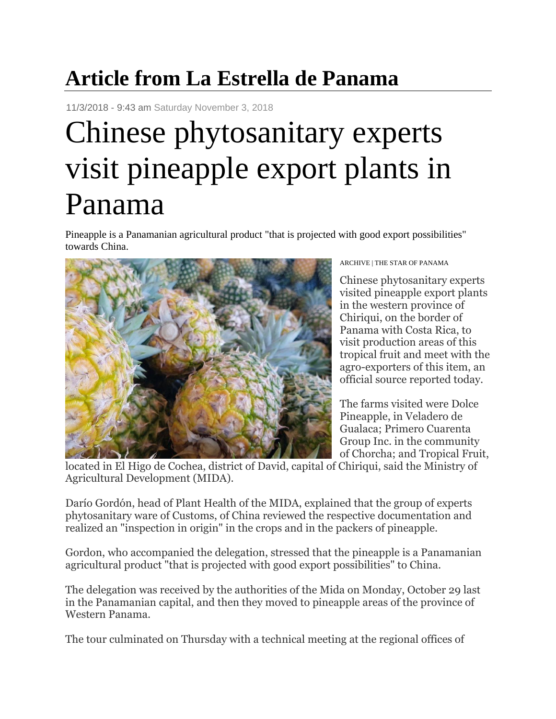## **Article from La Estrella de Panama**

11/3/2018 - 9:43 am Saturday November 3, 2018

## Chinese phytosanitary experts visit pineapple export plants in Panama

Pineapple is a Panamanian agricultural product "that is projected with good export possibilities" towards China.



ARCHIVE | THE STAR OF PANAMA

Chinese phytosanitary experts visited pineapple export plants in the western province of Chiriqui, on the border of Panama with Costa Rica, to visit production areas of this tropical fruit and meet with the agro-exporters of this item, an official source reported today.

The farms visited were Dolce Pineapple, in Veladero de Gualaca; Primero Cuarenta Group Inc. in the community of Chorcha; and Tropical Fruit,

located in El Higo de Cochea, district of David, capital of Chiriqui, said the Ministry of Agricultural Development (MIDA).

Darío Gordón, head of Plant Health of the MIDA, explained that the group of experts phytosanitary ware of Customs, of China reviewed the respective documentation and realized an "inspection in origin" in the crops and in the packers of pineapple.

Gordon, who accompanied the delegation, stressed that the pineapple is a Panamanian agricultural product "that is projected with good export possibilities" to China.

The delegation was received by the authorities of the Mida on Monday, October 29 last in the Panamanian capital, and then they moved to pineapple areas of the province of Western Panama.

The tour culminated on Thursday with a technical meeting at the regional offices of